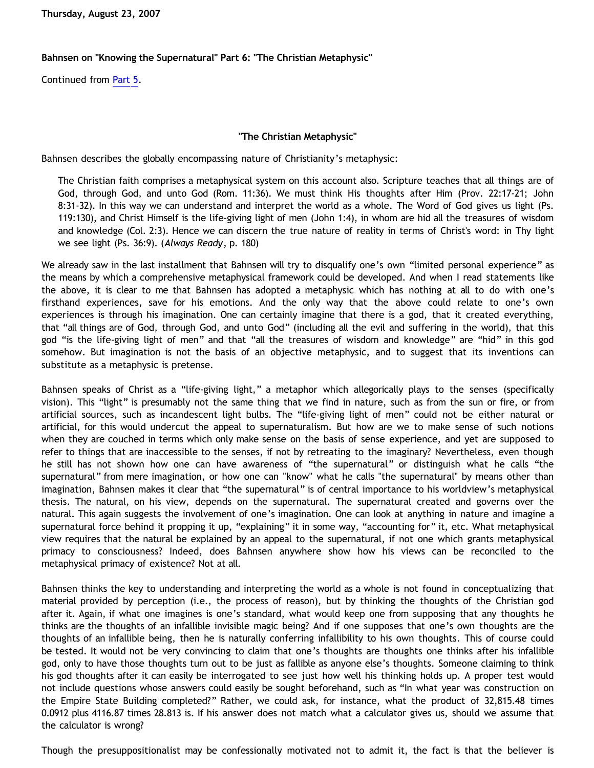**Thursday, August 23, 2007**

## **Bahnsen on "Knowing the Supernatural" Part 6: "The Christian Metaphysic"**

Continued from [Part 5.](http://bahnsenburner.blogspot.com/2007/08/bahnsen-on-knowing-supernatural-part-5.html)

## **"The Christian Metaphysic"**

Bahnsen describes the globally encompassing nature of Christianity's metaphysic:

The Christian faith comprises a metaphysical system on this account also. Scripture teaches that all things are of God, through God, and unto God (Rom. 11:36). We must think His thoughts after Him (Prov. 22:17-21; John 8:31-32). In this way we can understand and interpret the world as a whole. The Word of God gives us light (Ps. 119:130), and Christ Himself is the life-giving light of men (John 1:4), in whom are hid all the treasures of wisdom and knowledge (Col. 2:3). Hence we can discern the true nature of reality in terms of Christ's word: in Thy light we see light (Ps. 36:9). (*Always Ready*, p. 180)

We already saw in the last installment that Bahnsen will try to disqualify one's own "limited personal experience" as the means by which a comprehensive metaphysical framework could be developed. And when I read statements like the above, it is clear to me that Bahnsen has adopted a metaphysic which has nothing at all to do with one's firsthand experiences, save for his emotions. And the only way that the above could relate to one's own experiences is through his imagination. One can certainly imagine that there is a god, that it created everything, that "all things are of God, through God, and unto God" (including all the evil and suffering in the world), that this god "is the life-giving light of men" and that "all the treasures of wisdom and knowledge" are "hid" in this god somehow. But imagination is not the basis of an objective metaphysic, and to suggest that its inventions can substitute as a metaphysic is pretense.

Bahnsen speaks of Christ as a "life-giving light," a metaphor which allegorically plays to the senses (specifically vision). This "light" is presumably not the same thing that we find in nature, such as from the sun or fire, or from artificial sources, such as incandescent light bulbs. The "life-giving light of men" could not be either natural or artificial, for this would undercut the appeal to supernaturalism. But how are we to make sense of such notions when they are couched in terms which only make sense on the basis of sense experience, and yet are supposed to refer to things that are inaccessible to the senses, if not by retreating to the imaginary? Nevertheless, even though he still has not shown how one can have awareness of "the supernatural" or distinguish what he calls "the supernatural" from mere imagination, or how one can "know" what he calls "the supernatural" by means other than imagination, Bahnsen makes it clear that "the supernatural" is of central importance to his worldview's metaphysical thesis. The natural, on his view, depends on the supernatural. The supernatural created and governs over the natural. This again suggests the involvement of one's imagination. One can look at anything in nature and imagine a supernatural force behind it propping it up, "explaining" it in some way, "accounting for" it, etc. What metaphysical view requires that the natural be explained by an appeal to the supernatural, if not one which grants metaphysical primacy to consciousness? Indeed, does Bahnsen anywhere show how his views can be reconciled to the metaphysical primacy of existence? Not at all.

Bahnsen thinks the key to understanding and interpreting the world as a whole is not found in conceptualizing that material provided by perception (i.e., the process of reason), but by thinking the thoughts of the Christian god after it. Again, if what one imagines is one's standard, what would keep one from supposing that any thoughts he thinks are the thoughts of an infallible invisible magic being? And if one supposes that one's own thoughts are the thoughts of an infallible being, then he is naturally conferring infallibility to his own thoughts. This of course could be tested. It would not be very convincing to claim that one's thoughts are thoughts one thinks after his infallible god, only to have those thoughts turn out to be just as fallible as anyone else's thoughts. Someone claiming to think his god thoughts after it can easily be interrogated to see just how well his thinking holds up. A proper test would not include questions whose answers could easily be sought beforehand, such as "In what year was construction on the Empire State Building completed?" Rather, we could ask, for instance, what the product of 32,815.48 times 0.0912 plus 4116.87 times 28.813 is. If his answer does not match what a calculator gives us, should we assume that the calculator is wrong?

Though the presuppositionalist may be confessionally motivated not to admit it, the fact is that the believer is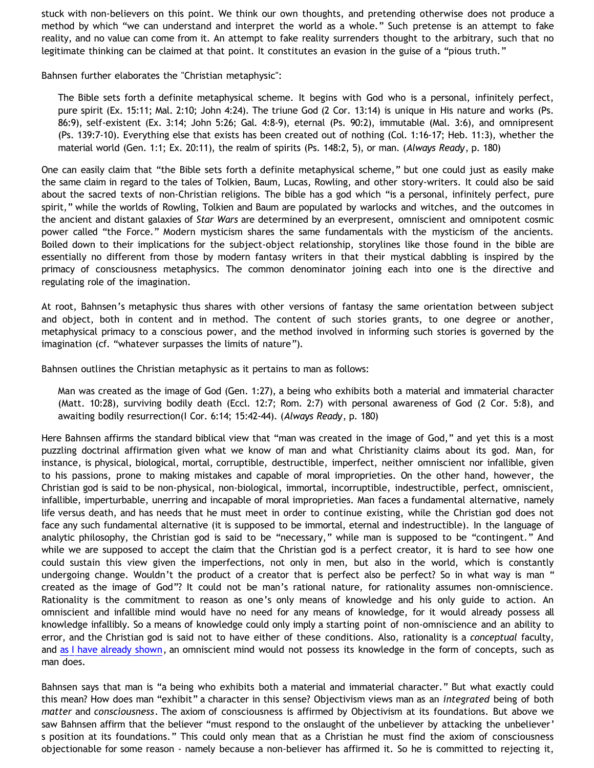stuck with non-believers on this point. We think our own thoughts, and pretending otherwise does not produce a method by which "we can understand and interpret the world as a whole." Such pretense is an attempt to fake reality, and no value can come from it. An attempt to fake reality surrenders thought to the arbitrary, such that no legitimate thinking can be claimed at that point. It constitutes an evasion in the guise of a "pious truth."

Bahnsen further elaborates the "Christian metaphysic":

The Bible sets forth a definite metaphysical scheme. It begins with God who is a personal, infinitely perfect, pure spirit (Ex. 15:11; Mal. 2:10; John 4:24). The triune God (2 Cor. 13:14) is unique in His nature and works (Ps. 86:9), self-existent (Ex. 3:14; John 5:26; Gal. 4:8-9), eternal (Ps. 90:2), immutable (Mal. 3:6), and omnipresent (Ps. 139:7-10). Everything else that exists has been created out of nothing (Col. 1:16-17; Heb. 11:3), whether the material world (Gen. 1:1; Ex. 20:11), the realm of spirits (Ps. 148:2, 5), or man. (*Always Ready*, p. 180)

One can easily claim that "the Bible sets forth a definite metaphysical scheme," but one could just as easily make the same claim in regard to the tales of Tolkien, Baum, Lucas, Rowling, and other story-writers. It could also be said about the sacred texts of non-Christian religions. The bible has a god which "is a personal, infinitely perfect, pure spirit," while the worlds of Rowling, Tolkien and Baum are populated by warlocks and witches, and the outcomes in the ancient and distant galaxies of *Star Wars* are determined by an everpresent, omniscient and omnipotent cosmic power called "the Force." Modern mysticism shares the same fundamentals with the mysticism of the ancients. Boiled down to their implications for the subject-object relationship, storylines like those found in the bible are essentially no different from those by modern fantasy writers in that their mystical dabbling is inspired by the primacy of consciousness metaphysics. The common denominator joining each into one is the directive and regulating role of the imagination.

At root, Bahnsen's metaphysic thus shares with other versions of fantasy the same orientation between subject and object, both in content and in method. The content of such stories grants, to one degree or another, metaphysical primacy to a conscious power, and the method involved in informing such stories is governed by the imagination (cf. "whatever surpasses the limits of nature").

Bahnsen outlines the Christian metaphysic as it pertains to man as follows:

Man was created as the image of God (Gen. 1:27), a being who exhibits both a material and immaterial character (Matt. 10:28), surviving bodily death (Eccl. 12:7; Rom. 2:7) with personal awareness of God (2 Cor. 5:8), and awaiting bodily resurrection(I Cor. 6:14; 15:42-44). (*Always Ready*, p. 180)

Here Bahnsen affirms the standard biblical view that "man was created in the image of God," and yet this is a most puzzling doctrinal affirmation given what we know of man and what Christianity claims about its god. Man, for instance, is physical, biological, mortal, corruptible, destructible, imperfect, neither omniscient nor infallible, given to his passions, prone to making mistakes and capable of moral improprieties. On the other hand, however, the Christian god is said to be non-physical, non-biological, immortal, incorruptible, indestructible, perfect, omniscient, infallible, imperturbable, unerring and incapable of moral improprieties. Man faces a fundamental alternative, namely life versus death, and has needs that he must meet in order to continue existing, while the Christian god does not face any such fundamental alternative (it is supposed to be immortal, eternal and indestructible). In the language of analytic philosophy, the Christian god is said to be "necessary," while man is supposed to be "contingent." And while we are supposed to accept the claim that the Christian god is a perfect creator, it is hard to see how one could sustain this view given the imperfections, not only in men, but also in the world, which is constantly undergoing change. Wouldn't the product of a creator that is perfect also be perfect? So in what way is man " created as the image of God"? It could not be man's rational nature, for rationality assumes non-omniscience. Rationality is the commitment to reason as one's only means of knowledge and his only guide to action. An omniscient and infallible mind would have no need for any means of knowledge, for it would already possess all knowledge infallibly. So a means of knowledge could only imply a starting point of non-omniscience and an ability to error, and the Christian god is said not to have either of these conditions. Also, rationality is a *conceptual* faculty, and [as I have already shown](http://bahnsenburner.blogspot.com/2007/04/would-omniscient-mind-have-knowledge-in.html), an omniscient mind would not possess its knowledge in the form of concepts, such as man does.

Bahnsen says that man is "a being who exhibits both a material and immaterial character." But what exactly could this mean? How does man "exhibit" a character in this sense? Objectivism views man as an *integrated* being of both *matter* and *consciousness*. The axiom of consciousness is affirmed by Objectivism at its foundations. But above we saw Bahnsen affirm that the believer "must respond to the onslaught of the unbeliever by attacking the unbeliever' s position at its foundations." This could only mean that as a Christian he must find the axiom of consciousness objectionable for some reason - namely because a non-believer has affirmed it. So he is committed to rejecting it,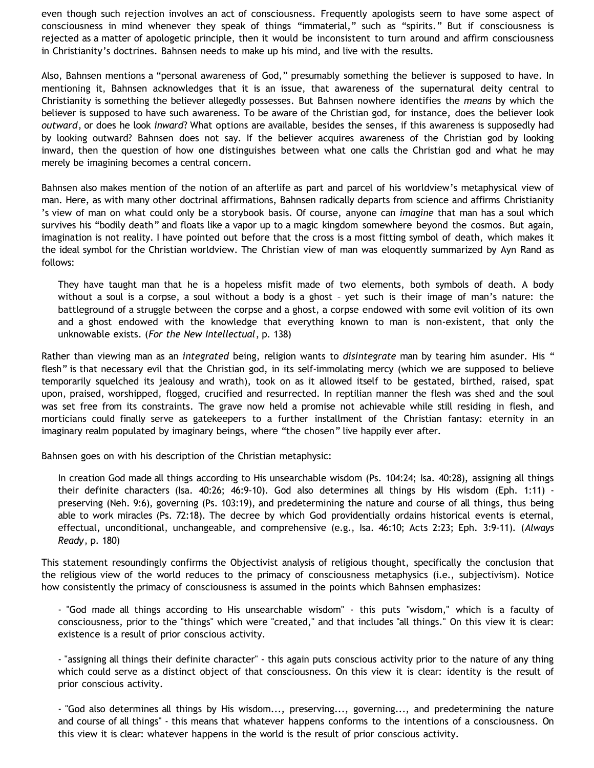even though such rejection involves an act of consciousness. Frequently apologists seem to have some aspect of consciousness in mind whenever they speak of things "immaterial," such as "spirits." But if consciousness is rejected as a matter of apologetic principle, then it would be inconsistent to turn around and affirm consciousness in Christianity's doctrines. Bahnsen needs to make up his mind, and live with the results.

Also, Bahnsen mentions a "personal awareness of God," presumably something the believer is supposed to have. In mentioning it, Bahnsen acknowledges that it is an issue, that awareness of the supernatural deity central to Christianity is something the believer allegedly possesses. But Bahnsen nowhere identifies the *means* by which the believer is supposed to have such awareness. To be aware of the Christian god, for instance, does the believer look *outward*, or does he look *inward*? What options are available, besides the senses, if this awareness is supposedly had by looking outward? Bahnsen does not say. If the believer acquires awareness of the Christian god by looking inward, then the question of how one distinguishes between what one calls the Christian god and what he may merely be imagining becomes a central concern.

Bahnsen also makes mention of the notion of an afterlife as part and parcel of his worldview's metaphysical view of man. Here, as with many other doctrinal affirmations, Bahnsen radically departs from science and affirms Christianity 's view of man on what could only be a storybook basis. Of course, anyone can *imagine* that man has a soul which survives his "bodily death" and floats like a vapor up to a magic kingdom somewhere beyond the cosmos. But again, imagination is not reality. I have pointed out before that the cross is a most fitting symbol of death, which makes it the ideal symbol for the Christian worldview. The Christian view of man was eloquently summarized by Ayn Rand as follows:

They have taught man that he is a hopeless misfit made of two elements, both symbols of death. A body without a soul is a corpse, a soul without a body is a ghost – yet such is their image of man's nature: the battleground of a struggle between the corpse and a ghost, a corpse endowed with some evil volition of its own and a ghost endowed with the knowledge that everything known to man is non-existent, that only the unknowable exists. (*For the New Intellectual*, p. 138)

Rather than viewing man as an *integrated* being, religion wants to *disintegrate* man by tearing him asunder. His " flesh" is that necessary evil that the Christian god, in its self-immolating mercy (which we are supposed to believe temporarily squelched its jealousy and wrath), took on as it allowed itself to be gestated, birthed, raised, spat upon, praised, worshipped, flogged, crucified and resurrected. In reptilian manner the flesh was shed and the soul was set free from its constraints. The grave now held a promise not achievable while still residing in flesh, and morticians could finally serve as gatekeepers to a further installment of the Christian fantasy: eternity in an imaginary realm populated by imaginary beings, where "the chosen" live happily ever after.

Bahnsen goes on with his description of the Christian metaphysic:

In creation God made all things according to His unsearchable wisdom (Ps. 104:24; Isa. 40:28), assigning all things their definite characters (Isa. 40:26; 46:9-10). God also determines all things by His wisdom (Eph. 1:11) preserving (Neh. 9:6), governing (Ps. 103:19), and predetermining the nature and course of all things, thus being able to work miracles (Ps. 72:18). The decree by which God providentially ordains historical events is eternal, effectual, unconditional, unchangeable, and comprehensive (e.g., Isa. 46:10; Acts 2:23; Eph. 3:9-11). (*Always Ready*, p. 180)

This statement resoundingly confirms the Objectivist analysis of religious thought, specifically the conclusion that the religious view of the world reduces to the primacy of consciousness metaphysics (i.e., subjectivism). Notice how consistently the primacy of consciousness is assumed in the points which Bahnsen emphasizes:

- "God made all things according to His unsearchable wisdom" - this puts "wisdom," which is a faculty of consciousness, prior to the "things" which were "created," and that includes "all things." On this view it is clear: existence is a result of prior conscious activity.

- "assigning all things their definite character" - this again puts conscious activity prior to the nature of any thing which could serve as a distinct object of that consciousness. On this view it is clear: identity is the result of prior conscious activity.

- "God also determines all things by His wisdom..., preserving..., governing..., and predetermining the nature and course of all things" - this means that whatever happens conforms to the intentions of a consciousness. On this view it is clear: whatever happens in the world is the result of prior conscious activity.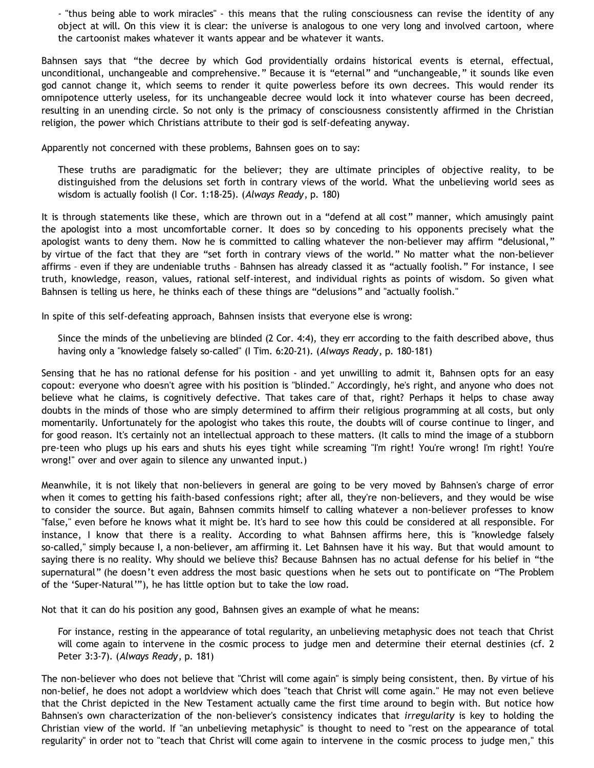- "thus being able to work miracles" - this means that the ruling consciousness can revise the identity of any object at will. On this view it is clear: the universe is analogous to one very long and involved cartoon, where the cartoonist makes whatever it wants appear and be whatever it wants.

Bahnsen says that "the decree by which God providentially ordains historical events is eternal, effectual, unconditional, unchangeable and comprehensive." Because it is "eternal" and "unchangeable," it sounds like even god cannot change it, which seems to render it quite powerless before its own decrees. This would render its omnipotence utterly useless, for its unchangeable decree would lock it into whatever course has been decreed, resulting in an unending circle. So not only is the primacy of consciousness consistently affirmed in the Christian religion, the power which Christians attribute to their god is self-defeating anyway.

Apparently not concerned with these problems, Bahnsen goes on to say:

These truths are paradigmatic for the believer; they are ultimate principles of objective reality, to be distinguished from the delusions set forth in contrary views of the world. What the unbelieving world sees as wisdom is actually foolish (I Cor. 1:18-25). (*Always Ready*, p. 180)

It is through statements like these, which are thrown out in a "defend at all cost" manner, which amusingly paint the apologist into a most uncomfortable corner. It does so by conceding to his opponents precisely what the apologist wants to deny them. Now he is committed to calling whatever the non-believer may affirm "delusional," by virtue of the fact that they are "set forth in contrary views of the world." No matter what the non-believer affirms – even if they are undeniable truths – Bahnsen has already classed it as "actually foolish." For instance, I see truth, knowledge, reason, values, rational self-interest, and individual rights as points of wisdom. So given what Bahnsen is telling us here, he thinks each of these things are "delusions" and "actually foolish."

In spite of this self-defeating approach, Bahnsen insists that everyone else is wrong:

Since the minds of the unbelieving are blinded (2 Cor. 4:4), they err according to the faith described above, thus having only a "knowledge falsely so-called" (I Tim. 6:20-21). (*Always Ready*, p. 180-181)

Sensing that he has no rational defense for his position - and yet unwilling to admit it, Bahnsen opts for an easy copout: everyone who doesn't agree with his position is "blinded." Accordingly, he's right, and anyone who does not believe what he claims, is cognitively defective. That takes care of that, right? Perhaps it helps to chase away doubts in the minds of those who are simply determined to affirm their religious programming at all costs, but only momentarily. Unfortunately for the apologist who takes this route, the doubts will of course continue to linger, and for good reason. It's certainly not an intellectual approach to these matters. (It calls to mind the image of a stubborn pre-teen who plugs up his ears and shuts his eyes tight while screaming "I'm right! You're wrong! I'm right! You're wrong!" over and over again to silence any unwanted input.)

Meanwhile, it is not likely that non-believers in general are going to be very moved by Bahnsen's charge of error when it comes to getting his faith-based confessions right; after all, they're non-believers, and they would be wise to consider the source. But again, Bahnsen commits himself to calling whatever a non-believer professes to know "false," even before he knows what it might be. It's hard to see how this could be considered at all responsible. For instance, I know that there is a reality. According to what Bahnsen affirms here, this is "knowledge falsely so-called," simply because I, a non-believer, am affirming it. Let Bahnsen have it his way. But that would amount to saying there is no reality. Why should we believe this? Because Bahnsen has no actual defense for his belief in "the supernatural" (he doesn't even address the most basic questions when he sets out to pontificate on "The Problem of the 'Super-Natural'"), he has little option but to take the low road.

Not that it can do his position any good, Bahnsen gives an example of what he means:

For instance, resting in the appearance of total regularity, an unbelieving metaphysic does not teach that Christ will come again to intervene in the cosmic process to judge men and determine their eternal destinies (cf. 2 Peter 3:3-7). (*Always Ready*, p. 181)

The non-believer who does not believe that "Christ will come again" is simply being consistent, then. By virtue of his non-belief, he does not adopt a worldview which does "teach that Christ will come again." He may not even believe that the Christ depicted in the New Testament actually came the first time around to begin with. But notice how Bahnsen's own characterization of the non-believer's consistency indicates that *irregularity* is key to holding the Christian view of the world. If "an unbelieving metaphysic" is thought to need to "rest on the appearance of total regularity" in order not to "teach that Christ will come again to intervene in the cosmic process to judge men," this